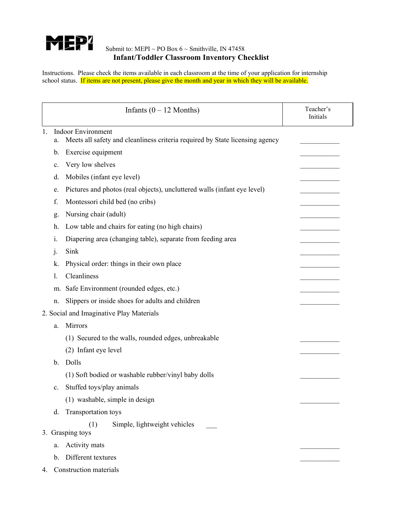

## Submit to: MEPI ~ PO Box  $6 \sim$  Smithville, IN 47458 **Infant/Toddler Classroom Inventory Checklist**

Instructions. Please check the items available in each classroom at the time of your application for internship school status. If items are not present, please give the month and year in which they will be available.

| Infants $(0 - 12$ Months) |                |                                                                              | Teacher's<br>Initials |
|---------------------------|----------------|------------------------------------------------------------------------------|-----------------------|
| 1.                        |                | <b>Indoor Environment</b>                                                    |                       |
|                           | a.             | Meets all safety and cleanliness criteria required by State licensing agency |                       |
|                           | b.             | Exercise equipment                                                           |                       |
|                           | c.             | Very low shelves                                                             |                       |
|                           | d.             | Mobiles (infant eye level)                                                   |                       |
|                           | e.             | Pictures and photos (real objects), uncluttered walls (infant eye level)     |                       |
|                           | f.             | Montessori child bed (no cribs)                                              |                       |
|                           | g.             | Nursing chair (adult)                                                        |                       |
|                           | h.             | Low table and chairs for eating (no high chairs)                             |                       |
|                           | 1.             | Diapering area (changing table), separate from feeding area                  |                       |
|                           | $\mathbf{1}$   | Sink                                                                         |                       |
|                           | k.             | Physical order: things in their own place                                    |                       |
|                           | 1.             | Cleanliness                                                                  |                       |
|                           | m.             | Safe Environment (rounded edges, etc.)                                       |                       |
|                           | n.             | Slippers or inside shoes for adults and children                             |                       |
|                           |                | 2. Social and Imaginative Play Materials                                     |                       |
|                           | a.             | Mirrors                                                                      |                       |
|                           |                | (1) Secured to the walls, rounded edges, unbreakable                         |                       |
|                           |                | (2) Infant eye level                                                         |                       |
|                           | b.             | Dolls                                                                        |                       |
|                           |                | (1) Soft bodied or washable rubber/vinyl baby dolls                          |                       |
|                           | $\mathbf{c}$ . | Stuffed toys/play animals                                                    |                       |
|                           |                | (1) washable, simple in design                                               |                       |
|                           | d.             | Transportation toys                                                          |                       |
|                           |                | Simple, lightweight vehicles<br>(1)<br>3. Grasping toys                      |                       |
|                           | a.             | Activity mats                                                                |                       |
|                           | b.             | Different textures                                                           |                       |
| 4.                        |                | Construction materials                                                       |                       |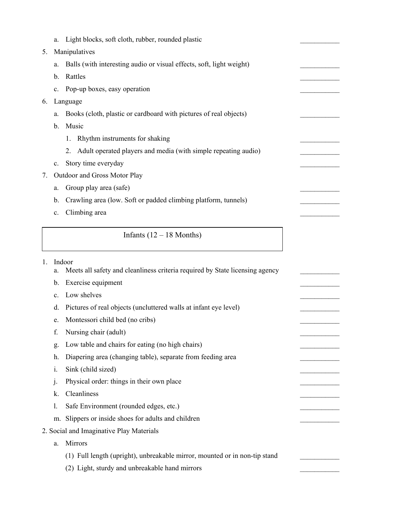|                                          | a.             | Light blocks, soft cloth, rubber, rounded plastic                            |  |
|------------------------------------------|----------------|------------------------------------------------------------------------------|--|
| 5.                                       |                | Manipulatives                                                                |  |
|                                          | a.             | Balls (with interesting audio or visual effects, soft, light weight)         |  |
|                                          | b.             | Rattles                                                                      |  |
|                                          | $\mathbf{c}$ . | Pop-up boxes, easy operation                                                 |  |
| 6.                                       |                | Language                                                                     |  |
|                                          | a.             | Books (cloth, plastic or cardboard with pictures of real objects)            |  |
|                                          | b.             | Music                                                                        |  |
|                                          |                | Rhythm instruments for shaking<br>1.                                         |  |
|                                          |                | Adult operated players and media (with simple repeating audio)<br>2.         |  |
|                                          | $\mathbf{c}$ . | Story time everyday                                                          |  |
| 7.                                       |                | Outdoor and Gross Motor Play                                                 |  |
|                                          | a.             | Group play area (safe)                                                       |  |
|                                          | b.             | Crawling area (low. Soft or padded climbing platform, tunnels)               |  |
|                                          | c.             | Climbing area                                                                |  |
|                                          |                |                                                                              |  |
|                                          |                | Infants $(12 – 18$ Months)                                                   |  |
| 1.                                       |                | Indoor                                                                       |  |
|                                          | a.             | Meets all safety and cleanliness criteria required by State licensing agency |  |
|                                          | b.             | Exercise equipment                                                           |  |
|                                          | c.             | Low shelves                                                                  |  |
|                                          | d.             | Pictures of real objects (uncluttered walls at infant eye level)             |  |
|                                          | e.             | Montessori child bed (no cribs)                                              |  |
|                                          | f.             | Nursing chair (adult)                                                        |  |
|                                          | g.             | Low table and chairs for eating (no high chairs)                             |  |
|                                          | h.             | Diapering area (changing table), separate from feeding area                  |  |
|                                          | i.             | Sink (child sized)                                                           |  |
|                                          | j.             | Physical order: things in their own place                                    |  |
|                                          | k.             | Cleanliness                                                                  |  |
|                                          | 1.             | Safe Environment (rounded edges, etc.)                                       |  |
|                                          | m.             | Slippers or inside shoes for adults and children                             |  |
| 2. Social and Imaginative Play Materials |                |                                                                              |  |
|                                          | a.             | Mirrors                                                                      |  |
|                                          |                | (1) Full length (upright), unbreakable mirror, mounted or in non-tip stand   |  |
|                                          |                |                                                                              |  |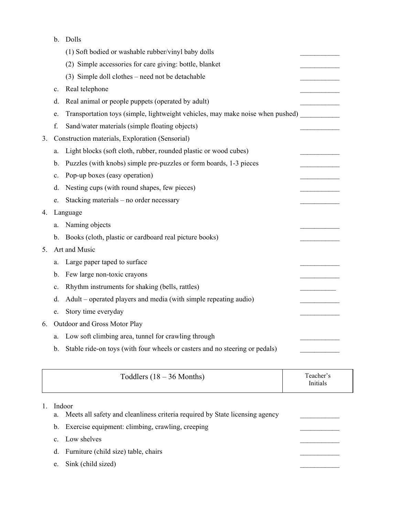b. Dolls

|    |                | (1) Soft bodied or washable rubber/vinyl baby dolls                            |  |
|----|----------------|--------------------------------------------------------------------------------|--|
|    |                | (2) Simple accessories for care giving: bottle, blanket                        |  |
|    |                | (3) Simple doll clothes – need not be detachable                               |  |
|    | $\mathbf{c}$ . | Real telephone                                                                 |  |
|    | d.             | Real animal or people puppets (operated by adult)                              |  |
|    | e.             | Transportation toys (simple, lightweight vehicles, may make noise when pushed) |  |
|    | f.             | Sand/water materials (simple floating objects)                                 |  |
| 3. |                | Construction materials, Exploration (Sensorial)                                |  |
|    | a.             | Light blocks (soft cloth, rubber, rounded plastic or wood cubes)               |  |
|    | b.             | Puzzles (with knobs) simple pre-puzzles or form boards, 1-3 pieces             |  |
|    | c.             | Pop-up boxes (easy operation)                                                  |  |
|    | d.             | Nesting cups (with round shapes, few pieces)                                   |  |
|    | e.             | Stacking materials - no order necessary                                        |  |
| 4. |                | Language                                                                       |  |
|    | a.             | Naming objects                                                                 |  |
|    |                | b. Books (cloth, plastic or cardboard real picture books)                      |  |
| 5. |                | Art and Music                                                                  |  |
|    | a.             | Large paper taped to surface                                                   |  |
|    | b.             | Few large non-toxic crayons                                                    |  |
|    | c.             | Rhythm instruments for shaking (bells, rattles)                                |  |
|    | d.             | Adult – operated players and media (with simple repeating audio)               |  |
|    | e.             | Story time everyday                                                            |  |
| 6. |                | Outdoor and Gross Motor Play                                                   |  |
|    | a.             | Low soft climbing area, tunnel for crawling through                            |  |
|    | b.             | Stable ride-on toys (with four wheels or casters and no steering or pedals)    |  |

| Toddlers $(18 - 36$ Months) | Teacher's<br>Initials |
|-----------------------------|-----------------------|
|-----------------------------|-----------------------|

## 1. Indoor

 $4.$ 

5.

- a. Meets all safety and cleanliness criteria required by State licensing agency
- b. Exercise equipment: climbing, crawling, creeping
- c. Low shelves
- d. Furniture (child size) table, chairs
- e. Sink (child sized)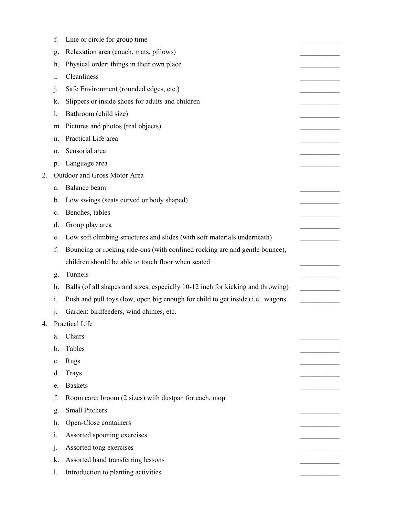|    | f.             | Line or circle for group time                                                   |  |
|----|----------------|---------------------------------------------------------------------------------|--|
|    | g.             | Relaxation area (couch, mats, pillows)                                          |  |
|    | h.             | Physical order: things in their own place                                       |  |
|    | i.             | Cleanliness                                                                     |  |
|    | j.             | Safe Environment (rounded edges, etc.)                                          |  |
|    | k.             | Slippers or inside shoes for adults and children                                |  |
|    | 1.             | Bathroom (child size)                                                           |  |
|    | m.             | Pictures and photos (real objects)                                              |  |
|    | n.             | Practical Life area                                                             |  |
|    | 0.             | Sensorial area                                                                  |  |
|    | p.             | Language area                                                                   |  |
| 2. |                | Outdoor and Gross Motor Area                                                    |  |
|    | a.             | Balance beam                                                                    |  |
|    | b.             | Low swings (seats curved or body shaped)                                        |  |
|    | c.             | Benches, tables                                                                 |  |
|    | d.             | Group play area                                                                 |  |
|    | e.             | Low soft climbing structures and slides (with soft materials underneath)        |  |
|    | f.             | Bouncing or rocking ride-ons (with confined rocking arc and gentle bounce),     |  |
|    |                | children should be able to touch floor when seated                              |  |
|    | g.             | Tunnels                                                                         |  |
|    | h.             | Balls (of all shapes and sizes, especially 10-12 inch for kicking and throwing) |  |
|    | $\mathbf{1}$ . | Push and pull toys (low, open big enough for child to get inside) i.e., wagons  |  |
|    | j.             | Garden: birdfeeders, wind chimes, etc.                                          |  |
| 4. |                | Practical Life                                                                  |  |
|    | a.             | Chairs                                                                          |  |
|    | b.             | Tables                                                                          |  |
|    | c.             | <b>Rugs</b>                                                                     |  |
|    | d.             | <b>Trays</b>                                                                    |  |
|    | e.             | <b>Baskets</b>                                                                  |  |
|    | f.             | Room care: broom (2 sizes) with dustpan for each, mop                           |  |
|    | g.             | <b>Small Pitchers</b>                                                           |  |
|    | h.             | Open-Close containers                                                           |  |
|    | i.             | Assorted spooning exercises                                                     |  |
|    | $\mathbf{1}$   | Assorted tong exercises                                                         |  |
|    | k.             | Assorted hand transferring lessons                                              |  |
|    | 1.             | Introduction to planting activities                                             |  |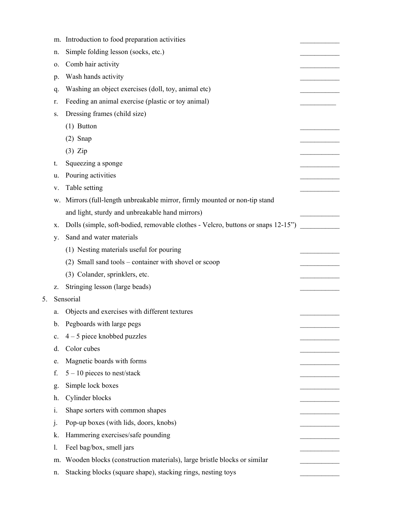|    |                  | m. Introduction to food preparation activities                                   |  |
|----|------------------|----------------------------------------------------------------------------------|--|
|    | n.               | Simple folding lesson (socks, etc.)                                              |  |
|    | о.               | Comb hair activity                                                               |  |
|    | p.               | Wash hands activity                                                              |  |
|    | q.               | Washing an object exercises (doll, toy, animal etc)                              |  |
|    | r.               | Feeding an animal exercise (plastic or toy animal)                               |  |
|    | S.               | Dressing frames (child size)                                                     |  |
|    |                  | $(1)$ Button                                                                     |  |
|    |                  | $(2)$ Snap                                                                       |  |
|    |                  | $(3)$ Zip                                                                        |  |
|    | t.               | Squeezing a sponge                                                               |  |
|    | u.               | Pouring activities                                                               |  |
|    | v.               | Table setting                                                                    |  |
|    | w.               | Mirrors (full-length unbreakable mirror, firmly mounted or non-tip stand         |  |
|    |                  | and light, sturdy and unbreakable hand mirrors)                                  |  |
|    | X.               | Dolls (simple, soft-bodied, removable clothes - Velcro, buttons or snaps 12-15") |  |
|    | y.               | Sand and water materials                                                         |  |
|    |                  | (1) Nesting materials useful for pouring                                         |  |
|    |                  | (2) Small sand tools – container with shovel or scoop                            |  |
|    |                  | (3) Colander, sprinklers, etc.                                                   |  |
|    | z.               | Stringing lesson (large beads)                                                   |  |
| 5. |                  | Sensorial                                                                        |  |
|    | a.               | Objects and exercises with different textures                                    |  |
|    | b.               | Pegboards with large pegs                                                        |  |
|    | c.               | $4 - 5$ piece knobbed puzzles                                                    |  |
|    | d.               | Color cubes                                                                      |  |
|    | e.               | Magnetic boards with forms                                                       |  |
|    | f.               | $5 - 10$ pieces to nest/stack                                                    |  |
|    | g.               | Simple lock boxes                                                                |  |
|    | h.               | Cylinder blocks                                                                  |  |
|    | $\overline{1}$ . | Shape sorters with common shapes                                                 |  |
|    | $\cdot$          | Pop-up boxes (with lids, doors, knobs)                                           |  |
|    | k.               | Hammering exercises/safe pounding                                                |  |
|    | 1.               | Feel bag/box, smell jars                                                         |  |
|    | m.               | Wooden blocks (construction materials), large bristle blocks or similar          |  |
|    | n.               | Stacking blocks (square shape), stacking rings, nesting toys                     |  |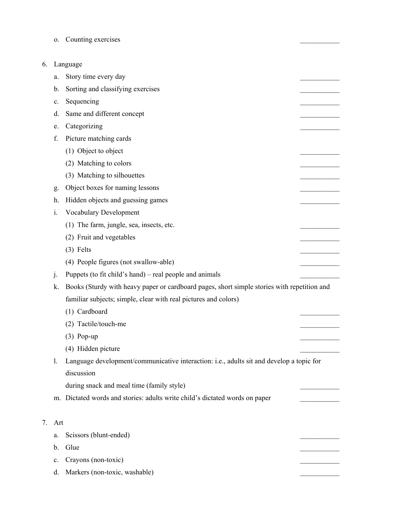o. Counting exercises

## 6. Language

 $7.$ 

|    | a.             | Story time every day                                                                        |  |
|----|----------------|---------------------------------------------------------------------------------------------|--|
|    | b.             | Sorting and classifying exercises                                                           |  |
|    | c.             | Sequencing                                                                                  |  |
|    | d.             | Same and different concept                                                                  |  |
|    | e.             | Categorizing                                                                                |  |
|    | f.             | Picture matching cards                                                                      |  |
|    |                | (1) Object to object                                                                        |  |
|    |                | (2) Matching to colors                                                                      |  |
|    |                | (3) Matching to silhouettes                                                                 |  |
|    | g.             | Object boxes for naming lessons                                                             |  |
|    | h.             | Hidden objects and guessing games                                                           |  |
|    | i.             | Vocabulary Development                                                                      |  |
|    |                | (1) The farm, jungle, sea, insects, etc.                                                    |  |
|    |                | (2) Fruit and vegetables                                                                    |  |
|    |                | $(3)$ Felts                                                                                 |  |
|    |                | (4) People figures (not swallow-able)                                                       |  |
|    | $\mathbf{j}$ . | Puppets (to fit child's hand) – real people and animals                                     |  |
|    | k.             | Books (Sturdy with heavy paper or cardboard pages, short simple stories with repetition and |  |
|    |                | familiar subjects; simple, clear with real pictures and colors)                             |  |
|    |                | (1) Cardboard                                                                               |  |
|    |                | (2) Tactile/touch-me                                                                        |  |
|    |                | $(3)$ Pop-up                                                                                |  |
|    |                | (4) Hidden picture                                                                          |  |
|    | 1.             | Language development/communicative interaction: i.e., adults sit and develop a topic for    |  |
|    |                | discussion                                                                                  |  |
|    |                | during snack and meal time (family style)                                                   |  |
|    |                | m. Dictated words and stories: adults write child's dictated words on paper                 |  |
|    |                |                                                                                             |  |
| 7. | Art            |                                                                                             |  |
|    | a.             | Scissors (blunt-ended)                                                                      |  |
|    | b.             | Glue                                                                                        |  |
|    | c.             | Crayons (non-toxic)                                                                         |  |
|    | d.             | Markers (non-toxic, washable)                                                               |  |